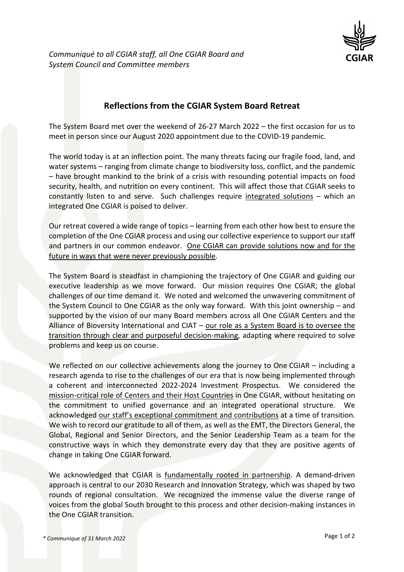

## **Reflections from the CGIAR System Board Retreat**

The System Board met over the weekend of 26-27 March 2022 – the first occasion for us to meet in person since our August 2020 appointment due to the COVID-19 pandemic.

The world today is at an inflection point. The many threats facing our fragile food, land, and water systems – ranging from climate change to biodiversity loss, conflict, and the pandemic – have brought mankind to the brink of a crisis with resounding potential impacts on food security, health, and nutrition on every continent. This will affect those that CGIAR seeks to constantly listen to and serve. Such challenges require integrated solutions – which an integrated One CGIAR is poised to deliver.

Our retreat covered a wide range of topics – learning from each other how best to ensure the completion of the One CGIAR process and using our collective experience to support our staff and partners in our common endeavor. One CGIAR can provide solutions now and for the future in ways that were never previously possible.

The System Board is steadfast in championing the trajectory of One CGIAR and guiding our executive leadership as we move forward. Our mission requires One CGIAR; the global challenges of our time demand it. We noted and welcomed the unwavering commitment of the System Council to One CGIAR as the only way forward. With this joint ownership – and supported by the vision of our many Board members across all One CGIAR Centers and the Alliance of Bioversity International and CIAT – our role as a System Board is to oversee the transition through clear and purposeful decision-making, adapting where required to solve problems and keep us on course.

We reflected on our collective achievements along the journey to One CGIAR – including a research agenda to rise to the challenges of our era that is now being implemented through a coherent and interconnected 2022-2024 Investment Prospectus. We considered the mission-critical role of Centers and their Host Countries in One CGIAR, without hesitating on the commitment to unified governance and an integrated operational structure. We acknowledged our staff's exceptional commitment and contributions at a time of transition. We wish to record our gratitude to all of them, as well as the EMT, the Directors General, the Global, Regional and Senior Directors, and the Senior Leadership Team as a team for the constructive ways in which they demonstrate every day that they are positive agents of change in taking One CGIAR forward.

We acknowledged that CGIAR is fundamentally rooted in partnership. A demand-driven approach is central to our 2030 Research and Innovation Strategy, which was shaped by two rounds of regional consultation. We recognized the immense value the diverse range of voices from the global South brought to this process and other decision-making instances in the One CGIAR transition.